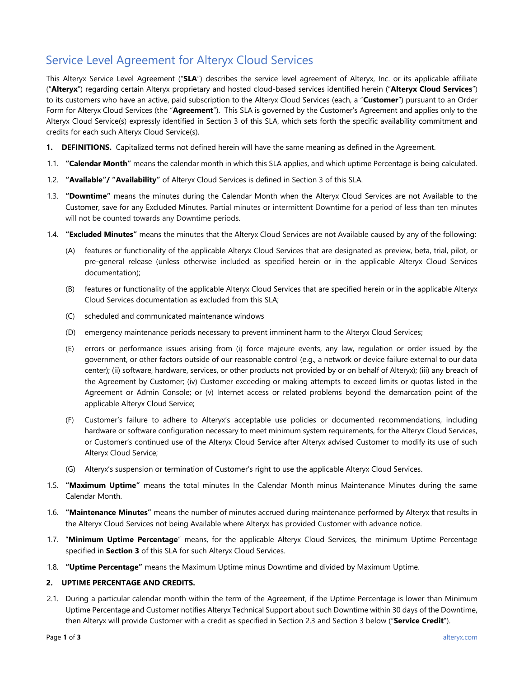# Service Level Agreement for Alteryx Cloud Services

This Alteryx Service Level Agreement ("**SLA**") describes the service level agreement of Alteryx, Inc. or its applicable affiliate ("**Alteryx**") regarding certain Alteryx proprietary and hosted cloud-based services identified herein ("**Alteryx Cloud Services**") to its customers who have an active, paid subscription to the Alteryx Cloud Services (each, a "**Customer**") pursuant to an Order Form for Alteryx Cloud Services (the "**Agreement**"). This SLA is governed by the Customer's Agreement and applies only to the Alteryx Cloud Service(s) expressly identified in Section 3 of this SLA, which sets forth the specific availability commitment and credits for each such Alteryx Cloud Service(s).

- **1. DEFINITIONS.** Capitalized terms not defined herein will have the same meaning as defined in the Agreement.
- 1.1. **"Calendar Month"** means the calendar month in which this SLA applies, and which uptime Percentage is being calculated.
- 1.2. **"Available"/ "Availability"** of Alteryx Cloud Services is defined in Section 3 of this SLA.
- 1.3. **"Downtime"** means the minutes during the Calendar Month when the Alteryx Cloud Services are not Available to the Customer, save for any Excluded Minutes. Partial minutes or intermittent Downtime for a period of less than ten minutes will not be counted towards any Downtime periods.
- 1.4. **"Excluded Minutes"** means the minutes that the Alteryx Cloud Services are not Available caused by any of the following:
	- (A) features or functionality of the applicable Alteryx Cloud Services that are designated as preview, beta, trial, pilot, or pre-general release (unless otherwise included as specified herein or in the applicable Alteryx Cloud Services documentation);
	- (B) features or functionality of the applicable Alteryx Cloud Services that are specified herein or in the applicable Alteryx Cloud Services documentation as excluded from this SLA;
	- (C) scheduled and communicated maintenance windows
	- (D) emergency maintenance periods necessary to prevent imminent harm to the Alteryx Cloud Services;
	- (E) errors or performance issues arising from (i) force majeure events, any law, regulation or order issued by the government, or other factors outside of our reasonable control (e.g., a network or device failure external to our data center); (ii) software, hardware, services, or other products not provided by or on behalf of Alteryx); (iii) any breach of the Agreement by Customer; (iv) Customer exceeding or making attempts to exceed limits or quotas listed in the Agreement or Admin Console; or (v) Internet access or related problems beyond the demarcation point of the applicable Alteryx Cloud Service;
	- (F) Customer's failure to adhere to Alteryx's acceptable use policies or documented recommendations, including hardware or software configuration necessary to meet minimum system requirements, for the Alteryx Cloud Services, or Customer's continued use of the Alteryx Cloud Service after Alteryx advised Customer to modify its use of such Alteryx Cloud Service;
	- (G) Alteryx's suspension or termination of Customer's right to use the applicable Alteryx Cloud Services.
- 1.5. **"Maximum Uptime"** means the total minutes In the Calendar Month minus Maintenance Minutes during the same Calendar Month.
- 1.6. **"Maintenance Minutes"** means the number of minutes accrued during maintenance performed by Alteryx that results in the Alteryx Cloud Services not being Available where Alteryx has provided Customer with advance notice.
- 1.7. "**Minimum Uptime Percentage**" means, for the applicable Alteryx Cloud Services, the minimum Uptime Percentage specified in **Section 3** of this SLA for such Alteryx Cloud Services.
- 1.8. **"Uptime Percentage"** means the Maximum Uptime minus Downtime and divided by Maximum Uptime.

## **2. UPTIME PERCENTAGE AND CREDITS.**

2.1. During a particular calendar month within the term of the Agreement, if the Uptime Percentage is lower than Minimum Uptime Percentage and Customer notifies Alteryx Technical Support about such Downtime within 30 days of the Downtime, then Alteryx will provide Customer with a credit as specified in Section 2.3 and Section 3 below ("**Service Credit**").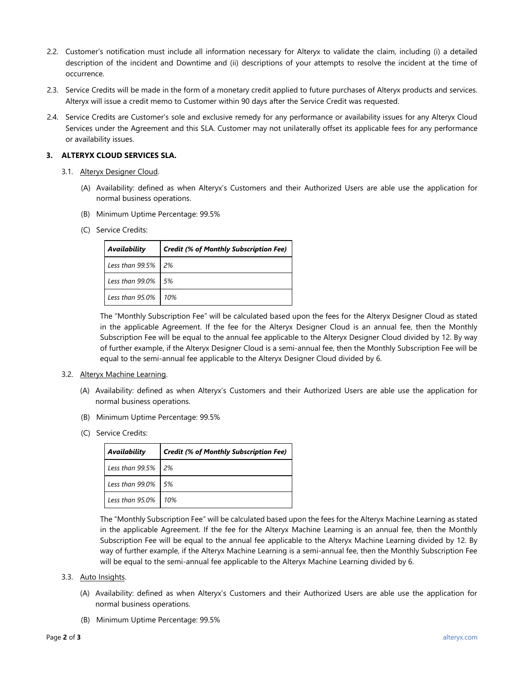- 2.2. Customer's notification must include all information necessary for Alteryx to validate the claim, including (i) a detailed description of the incident and Downtime and (ii) descriptions of your attempts to resolve the incident at the time of occurrence.
- 2.3. Service Credits will be made in the form of a monetary credit applied to future purchases of Alteryx products and services. Alteryx will issue a credit memo to Customer within 90 days after the Service Credit was requested.
- 2.4. Service Credits are Customer's sole and exclusive remedy for any performance or availability issues for any Alteryx Cloud Services under the Agreement and this SLA. Customer may not unilaterally offset its applicable fees for any performance or availability issues.

### **3. ALTERYX CLOUD SERVICES SLA.**

- 3.1. Alteryx Designer Cloud.
	- (A) Availability: defined as when Alteryx's Customers and their Authorized Users are able use the application for normal business operations.
	- (B) Minimum Uptime Percentage: 99.5%
	- (C) Service Credits:

| Availability          | <b>Credit (% of Monthly Subscription Fee)</b> |
|-----------------------|-----------------------------------------------|
| Less than $99.5\%$ 2% |                                               |
| Less than 99.0% 5%    |                                               |
| Less than 95.0% 10%   |                                               |

The "Monthly Subscription Fee" will be calculated based upon the fees for the Alteryx Designer Cloud as stated in the applicable Agreement. If the fee for the Alteryx Designer Cloud is an annual fee, then the Monthly Subscription Fee will be equal to the annual fee applicable to the Alteryx Designer Cloud divided by 12. By way of further example, if the Alteryx Designer Cloud is a semi-annual fee, then the Monthly Subscription Fee will be equal to the semi-annual fee applicable to the Alteryx Designer Cloud divided by 6.

#### 3.2. Alteryx Machine Learning.

- (A) Availability: defined as when Alteryx's Customers and their Authorized Users are able use the application for normal business operations.
- (B) Minimum Uptime Percentage: 99.5%
- (C) Service Credits:

| Availability          | <b>Credit (% of Monthly Subscription Fee)</b> |
|-----------------------|-----------------------------------------------|
| Less than 99.5% 2%    |                                               |
| Less than 99.0% 5%    |                                               |
| Less than 95.0%   10% |                                               |

The "Monthly Subscription Fee" will be calculated based upon the fees for the Alteryx Machine Learning as stated in the applicable Agreement. If the fee for the Alteryx Machine Learning is an annual fee, then the Monthly Subscription Fee will be equal to the annual fee applicable to the Alteryx Machine Learning divided by 12. By way of further example, if the Alteryx Machine Learning is a semi-annual fee, then the Monthly Subscription Fee will be equal to the semi-annual fee applicable to the Alteryx Machine Learning divided by 6.

- 3.3. Auto Insights.
	- (A) Availability: defined as when Alteryx's Customers and their Authorized Users are able use the application for normal business operations.
	- (B) Minimum Uptime Percentage: 99.5%